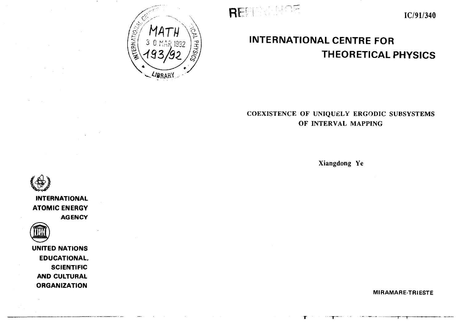



 $IC/91/340$ 

# **INTERNATIONAL CENTRE FOR THEORETICAL PHYSICS**

# COEXISTENCE OF UNIQUELY ERGODIC SUBSYSTEMS OF INTERVAL MAPPING

Xiangdong Ye

 $\mathbf T$ 



**UNITED NATIONS EDUCATIONAL, SCIENTIFIC AND CULTURAL ORGANIZATION** 

**MIRAMARE-TRIESTE**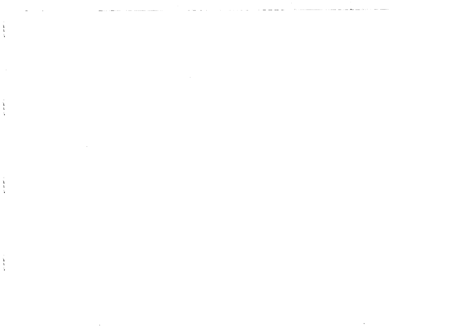$\label{eq:3.1} \mathcal{L}(\mathbf{m}) = \mathcal{L}(\mathbf{m}) + \mathcal{L}(\mathbf{m}) \mathbf{h}(\mathbf{m}) = \mathcal{L}(\mathbf{m}) + \mathcal{L}(\mathbf{m}) + \mathcal{L}(\mathbf{m}) + \mathcal{L}(\mathbf{m}) + \mathcal{L}(\mathbf{m}) + \mathcal{L}(\mathbf{m}) + \mathcal{L}(\mathbf{m}) + \mathcal{L}(\mathbf{m}) + \mathcal{L}(\mathbf{m}) + \mathcal{L}(\mathbf{m}) + \mathcal{L}(\mathbf{m}) + \mathcal{L}(\mathbf{m}) + \mathcal{$ للمستشركة والمساعد للداعة المناد للمستنب وسنراري والرقاء بتبين ستقريبهم والمترا لمسترد والرازيلين  $\sim 10^{-10}$  $\mathcal{L}(\mathcal{L}^{\mathcal{L}})$  and  $\mathcal{L}^{\mathcal{L}}$  are the set of the set of  $\mathcal{L}^{\mathcal{L}}$ 

 $\begin{array}{c} 1 \\ 1 \\ 1 \\ 1 \end{array}$ 

 $\begin{array}{c} \mathbf{1} \\ \mathbf{1} \\ \mathbf{1} \end{array}$ 

 $\frac{1}{1}$ 

 $\begin{array}{c} \mathbf{k} \\ \mathbf{k} \\ \mathbf{l} \end{array}$ 

and the state of the state of the state

 $\sim 10^{11}$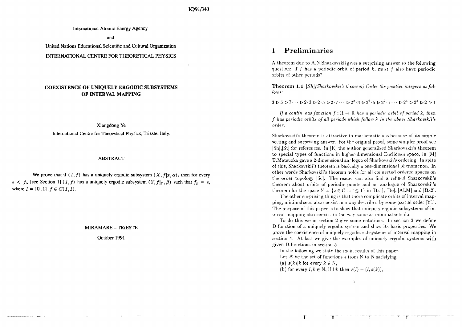### **IC/91/340**

**International Atomic Energy Agency**

**and**

**United Nations Educational Scientific and Cultural Organization**

### **INTERNATIONAL CENTRE FOR THEORETICAL PHYSICS**

## **COEXISTENCE OF UNIQUELY ERGODIC SUBSYSTEMS OF INTERVAL MAPPING**

**Xiangdong Ye International Centre for Theoretical Physics, Trieste, Italy.**

#### **ABSTRACT**

We prove that if  $(I, f)$  has a uniquely ergodic subsystem  $(X, f|x, \alpha)$ , then for every  $s \leq f_a$  [see Section 1] (*I, f*) has a uniquely ergodic subsystem  $(Y, f|_Y, \beta)$  such that  $f_\beta = s$ , where  $I = [0, 1], f \in C(I, I)$ .

#### **MIRAMARE - TRIESTE**

**October 1991**

## 1 Preliminaries

A theorem due to A.N.Sharkovskii gives a surprising answer lo the following question: if / has a periodic orbit of period *k,* must / also have periodic orbits of other periods?

**Theorem 1.1** *[Sh](Sharkovskii's theorem) Order the positive integers as follows.'*

 $3 \triangleright 5 \triangleright 7 \cdots \triangleright 2 \cdot 3 \triangleright 2 \cdot 5 \triangleright 2 \cdot 7 \cdots \triangleright 2^2 \cdot 3 \triangleright 2^2 \cdot 5 \triangleright 2^2 \cdot 7 \cdots \triangleright 2^3 \triangleright 2^2 \triangleright 2 \triangleright 1$ 

*If a contin 'ous function f :*  $R \rightarrow R$  *has a periodic orbit of period k, then f has periodic orbits of all periods which fellow k in the above Sharkovskii's order.*

Sharkovskii's theorem is attractive to mathematicians because of its simple setting and surprising answer, For the original proof, some simpler proof see [Sh],[St] for references. In [K] the author generalized Sharkovskii's theorem to special types of functions in higher-dimensional Euclidean space, in [M] T. Matsuoka gave a 2-dimensional analogue of Sharkovskii's ordering. In spite of this, Sharkovskii's theorem is basically a one-dimensional phenomenon. In other words Sharkovskii's theorem holds for all connected ordered spaces on the order topology [Sc]. The reader can also find a refined Sharkovskii's theorem about orbits of periodic points and an analogue of Sharkovskii's theorem for the space  $Y = \{z \in \mathcal{C} : z^3 \le 1\}$  in [Ba1], [Be], [ALM] and [Ba2].

The other surprising thing is that, more complicate orbits of interval mapping, minimal sets, also coexist in a way desrrib< d by some partial order [Yl]. The purpose of this paper is to show that uniquely ergodic subsystems of interval mapping also coexist in the way same as minimal sets do.

To do this we in section 2 give some notations. In section 3 we define D-function of a uniquely ergodic system and show its basic properties. We prove the coexistence of uniquely ergodic subsystems of interval mapping in section 4. At last we give the examples of uniquely ergodic systems with given D-functions in section 5.

In the following we state the main results of this paper. Let  $Z$  be the set of functions  $s$  from N to N satisfying (a)  $s(k)$  for every  $k \in N$ , (b) for every  $l, k \in \mathbb{N}$ , if  $l \nmid k$  then  $s(l) = (l, s(k)),$ 

 $\mathbf{1}$ 

 $\alpha$  , and the contract of the contract expectation of the contract of the contract  $\alpha$ 

**T ••'IT**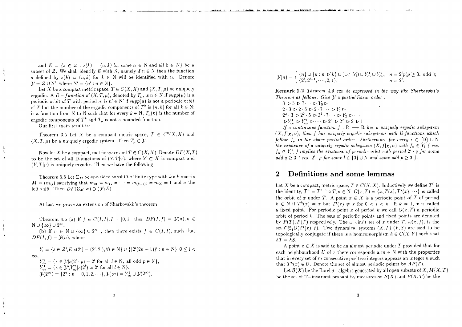and  $E = \{s \in \mathcal{Z} : s(k) = (n,k) \text{ for some } n \in \mathbb{N} \text{ and all } k \in \mathbb{N} \}$  be a subset of  $\mathcal Z$ . We shall identify  $E$  with N, namely if  $n \in \mathbb N$  then the function *s* defined by  $s(k) = (n, k)$  for  $k \in \mathbb{N}$  will be identified with *n*. Denote  $\mathcal{Y} = \mathcal{Z} \cup N'$ , where  $N' = \{n' : n \in N\}.$ 

Let X be a compact metric space,  $T \in C(X, X)$  and  $(X, T, \mu)$  be uniquely ergodic. A  $D$  - function of  $(X, T, \mu)$ , denoted by  $T_u$ , is  $n \in N$  if  $supp(\mu)$  is a periodic orbit of *T* with period *n*; is  $n' \in N'$  if  $supp(\mu)$  is not a periodic orbit of *T* but the number of the ergodic components of  $T^k$  is  $(n, k)$  for all  $k \in \mathbb{N}$ ; is a function from N to N such that for every  $k \in N$ ,  $T_u(k)$  is the number of ergodic components of  $T^k$  and  $T_u$  is not a bounded function.

Our first main result is:

 $\lambda$  $\Lambda$  $\mathcal{A}$ 

 $\begin{array}{c} \chi \\ \chi \\ \chi \end{array}$ 

 $\frac{1}{1}$  $\mathbf{I}_\mathrm{c}$ 

Theorem 3.5 Let  $X$  be a compact metric space,  $T \in C^0(X,X)$  and  $(X, T, \mu)$  be a uniquely ergodic system. Then  $T_a \in \mathcal{Y}$ .

Now let X be a compact, metric space and  $T \in C(X, X)$ . Denote  $DF(X, T)$ to be the set of all D-functions of  $(Y, T|_Y)$ , where  $Y \subset X$  is compact and  $(Y, T|_Y)$  is uniquely ergodic. Then we have the following

Theorem 5.5 Let  $\Sigma_M$  be one-sided subshift of finite type with  $k \times k$  matrix  $M = (m_{ij})$  satisfying that  $m_{01} = m_{12} = \cdots = m_{(k-1)0} = m_{00} = 1$  and  $\sigma$  the left shift. Then  $DF(\Sigma_M, \sigma) \supset (\mathcal{Y} \backslash E)$ .

At last we prove an extension of Sharkovskii's theorem

Theorem 4.5 (a) If  $f \in C(I, I), I = [0,1]$  then  $DF(I, f) = \mathcal{Y}(n), n \in$  $N \cup \{\infty\} \cup 2^\infty$ 

(b) If  $n \in \mathbb{N} \cup \{\infty\} \cup 2^{\infty}$ , then there exists  $f \in C(I, I)$ , such that  $DF(I, f) = \mathcal{Y}(n)$ , where

 $Y_i = \{s \in \mathcal{Z} \setminus E | s(2^i) = (2^i, 2^i), \forall l \in \mathbb{N} \} \cup \{(2^i(2n-1))': n \in \mathbb{N}\}, 0 \leq i < j$ **oo,**

 $2^l \cdot p$  =  $2^l$  for all  $l \in \mathbb{N}$ , all odd  $p \in \mathbb{N}$ ,  $\binom{2}{\infty}$ |s(2<sup>*l*</sup>) = 2<sup>*l*</sup> for all  $l \in \mathbb{N}$ },  $\widetilde{\mathcal{V}(2^{\infty})} = \{2^n : n = 0, 1, 2, \cdots\}$ ,  $\mathcal{Y}(\infty) = Y_1^2 \cup \mathcal{Y}(2^{\infty})$ ,

## **}** -,2, 1},

**Remark 1.2** *Theorem j.5 can be expressed in the way like Sharkovskii's Theorem as follows. Give y a partial linear order :*

 $3 \triangleright 5 \triangleright 7 \cdots \triangleright Y_0 \triangleright$  $2-3$   $\triangleright$   $2-5$   $\triangleright$   $2-7$   $\cdots$   $\triangleright$   $Y_1$   $\triangleright$  $2^2 \cdot 3 \triangleright 2^2 \cdot 5 \triangleright 2^2 \cdot 7 \cdots \triangleright Y_2 \triangleright \cdots$  $\triangleright Y^1_{\infty} \triangleright Y^2_{\infty} \triangleright \cdots \triangleright 2^3 \triangleright 2^2 \triangleright 2 \triangleright 1$ 

*If a continuous function*  $f : \mathbb{R} \longrightarrow \mathbb{R}$  has a uniquely ergodic subsystem  $(X, f\vert_X, \alpha)$ , then f has uniquely crgodic subsystems with D-functions which *follow*  $f_{ij}$  in the above partial order. Furthermore for every  $i \in \{0\} \cup N$ *the existence of a uniquely ergodic subsystem*  $(X, f|\mathbf{x}, \alpha)$  *with*  $f_a \in Y_i$  *(res.*  $f_{\alpha} \in Y^1_{\infty}$  ) implies the existence of periodic orbit with period  $2^i \cdot q$  for some *odd*  $q \geq 3$  (res.  $2^l \cdot p$  for some  $l \in \{0\} \cup N$  and some odd  $p \geq 3$  ).

## 2 Definitions and some lemmas

。<br>のまたは今は死亡し、concessibutilities adj. . (Apr とおり - Sul . . . ) - - - - - - - - - - -

Let *X* be a compact, metric space,  $T \in C(X, X)$ . Inductively we define  $T^0$  is the identity,  $T^{n} = T^{n-1} \circ T, n \in \mathbb{N}$ .  $O(x, T) = \{x, T(x), T^{2}(x), \dots\}$  is called the orbit of x under T. A point  $x \in X$  is a periodic point of T of period  $k \in \mathbb{N}$  if  $T^k(x) = x$  but  $T^i(x) \neq x$  for  $0 < i < k$ . If  $k = 1, x$  is called a fixed point. For periodic point x of period k we call  $O(x,T)$  a periodic orbit of period *k.* The sets of periodic points and fixed points are denoted by  $P(T)$ ,  $F(T)$  respectively. The  $\omega$ -limit set of x under T,  $\omega(x, f)$ , is the set  $\bigcap_{i=1}^{\infty} \overline{O(T^i(x),f)}$ . Two dynamical systems  $(X,T), (Y,S)$  are said to be topologically conjugate if there is a homeomorphism  $h \in C(X, Y)$  such that  $hT = hS$ .

A point  $x \in X$  is said to be an almost periodic under T provided that for each neighbourhood U of x there corresponds a  $m \in N$  with the properties that in every set of m consecutive positive integers appears an integer *u* such that  $T^n(x) \in U$ . Denote the set of almost periodic points by  $AP(T)$ .

Let  $\mathcal{B}(X)$  be the Borel  $\sigma$ -algebra generated by all open subsets of X,  $M(X,T)$ be the set of T—invariant probability measures on  $\mathcal{B}(X)$  and  $E(X,T)$  be the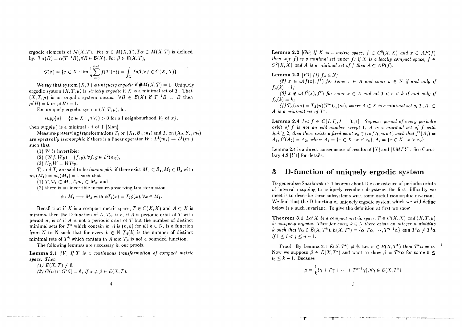ergodic elements of  $M(X,T)$ . For  $\alpha \in M(X,T)$ ,  $T\alpha \in M(X,T)$  is defined by:  $1 \alpha(B) = \alpha(T^{-1}B)$ ,  $\forall B \in \mathcal{B}(X)$ . For  $\beta \in E(X,T)$ ,

$$
G(\beta) = \{x \in X : \lim \frac{1}{n} \sum_{i=0}^{n-1} f(T^i(x)) = \int_X f d\beta, \forall f \in C(X, X) \}.
$$

 $\mathbb{R}^4$ 

We say that system  $(X,T)$  is uniquely ergodic if  $\#M(X,T) = 1.$  Uniquely ergodic system  $(X, T, \mu)$  is *strictly ergodic* if X is a minimal set of T. That  $(X, T, u)$  is an ergodic system means:  $\forall B \in \mathcal{B}(X)$  if  $T^{-1}B = B$  then  $\mu(B) = 0$  or  $\mu(B) = 1$ .

For uniquely ergodic system  $(X, T, \mu)$ , let

 $supp(u) = \{x \in X : \mu(V_x) > 0 \text{ for all neighborhood } V_x \text{ of } x\},$ 

then  $supp(\mu)$  is a minimal  $s \pm$  of T [Man].

Measure-preserving transformations  $T_1$  on  $(X_1, B_1, m_1)$  and  $T_2$  on  $(X_2, B_2, m_2)$ are  $spectrally\ isomorphic\ if\ there\ is\ a\ linear\ operator\ W: L^2(m_2) \to L^1(m_1)$ such that

(1) *W* is invertibie;  $(2)$   $(Wf, Wg) = (f, g), \forall f, g \in L^2(m_2);$ (3)  $U_T, W = W U_{T_2}.$ T<sub>1</sub> and T<sub>2</sub> are said to be *isomorphic* if there exist  $M_1 \in \mathcal{B}_1$ ,  $M_2 \in \mathcal{B}_2$  with  $m_1(M_1) = m_2(M_2) = 1$  such that (1)  $T_1M_1 \subset M_1$ ,  $T_2m_2 \subset M_2$ , and

(2) there is an invertibie measure-preserving transformation

 $\phi: M_1 \longrightarrow M_2$  with  $\phi T_1(x) = T_2 \phi(x), \forall x \in M_1$ .

Recall that if X is a compact metric space,  $T \in C(X,X)$  and  $A \subset X$  is minimal then the D-function of A,  $T_A$ , is n, if A is periodic orbit of T with period n, is  $n'$  if A is not a periodic orbit of T but the number of distinct minimal sets for  $T^k$  which contain in  $A$  is  $(n,k)$  for all  $k \in \mathbb{N}$ , is a function from N to N such that for every  $k \in N T<sub>4</sub>(k)$  is the number of distinct minimal sets of  $T^k$  which contain in  $A$  and  $T_A$  is not a bounded function.

The following lemmas are necessary in our proofs.

**Lemma 2.1** [IV] // *T is a continuous transformation of compact metric space. Then*

 $(f)$   $E(X, T) \neq \emptyset$ ;  $(2) G(\alpha) \cap G(\beta) = \emptyset$ , if  $\alpha \neq \beta \in E(X,T)$ .

 $\boldsymbol{A}$ 

**Lemma 2.2** [Go] If X is a metric space,  $f \in C^0(X, X)$  and  $x \in AP(f)$ *then*  $\omega(x, f)$  *is a minimal set under f; if* X *is a locally compact space, f*  $\in$  $C<sup>0</sup>(X, X)$  and A-is a minimal set of f then  $A \subset AP(f)$ .

#### **Lemma 2.3** *[Y1] (1)*  $f_4 \in \mathcal{Y}$ *;*

*(2)*  $x \in \omega(f(x), f^k)$  for some  $x \in A$  and some  $k \in \mathbb{N}$  if and only if  $f_A(k) = 1$ ;

*(3)*  $x \notin \omega(f^{\prime}(x), f^{\star})$  *for some*  $x \in A$  and all  $0 < i < k$  if and only if  $f_A(k) = k$ ;

(4)  $T_A(nm) = T_A(n)(T^n)_{A_1}(m)$ , where  $A \subset X$  is a minimal set of  $T, A_1 \subset Y$ *A is a minimal set ofT<sup>n</sup> .*

**Lemma 2.4** *I et*  $f \in C(I, I), I = [0, 1]$ . *Suppose period of every periodic orbit of f is not an odd number except* 1, *A* is a minimal set of f with  $#A \geq 2$ , then there exists a fixed point  $x_0 \in (infA, supA)$  such that  $f^2(A_1) =$  $A_1, f^2(A_2) = A_2, \text{ where } A_1 = \{x \in X : x < x_0\}, A_2 = \{x \in X : x > x_0\}.$ 

Lemma 2.4 is a direct consequence of results of [.Yj and *[LMPY].* See Corollary  $4.2$  [Y<sub>1</sub>] for details.

## 3 D-function of uniquely ergodic system

To generalize Sharkovskii's Theorem about the coexistence of periodic orbits of interval mapping to uniquely ergodic subsystems the first difficulty we meet is to describe these subsystems with some useful isomorphic invariant. We find that the D-function of uniquely ergodic system which we will define below is a such invariant. To give the definition at first we show

**Theorem 3.1** Let X be a compact metric space.  $T \in C(X, X)$  and  $(X, T, \mu)$ *be uniquely ergodic. Then for every*  $k \in \mathbb{N}$  there exists an integer n dividing *k* such that  $\forall \alpha \in E(\lambda, T^k)$ ,  $E(X, T^k) = \{\alpha, T\alpha, \cdots, T^{n-1}\alpha\}$  and  $T^i\alpha \neq T^j\alpha$ 

Proof: By Lemma 2.1  $E(X, T^k) \neq \emptyset$ . Let  $\alpha \in E(X, T^k)$  then  $T^k \alpha = \alpha$ . Now we suppose  $\beta \in E(X, T^k)$  and want to show  $\beta = T^{i_0} \alpha$  for some  $0 \leq$  $i_0 \leq k-1$ . Because

$$
\mu = \frac{1}{k}(\gamma + T\gamma + \dots + T^{k-1}\gamma), \forall \gamma \in E(X, T^k),
$$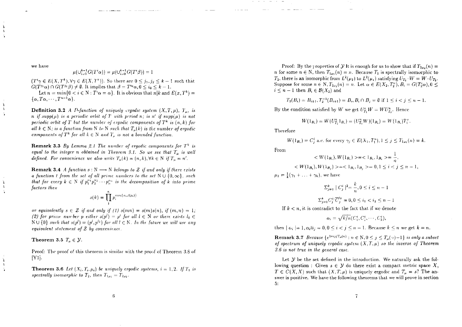we have

 $\mathbf{I}$ 

 $\mathbf{1}$  $\mathbf{1}$  $\mathbf{1}$ 

 $\mathbf{1}$ 

 $\mathbf{t}$  $\mathbf{1}$ 

# $\mu(\bigcup_{i=0}^{k-1} G(T^i \alpha)) = \mu(\bigcup_{i=0}^{k-1} G(T^i \beta)) = 1$

 $(T^{i}\gamma \in E(X, T^{k}), \forall \gamma \in E(X, T^{k}))$ . So there are  $0 \leq j_{1}, j_{2} \leq k-1$  such that  $G(T^{j_1}\alpha) \cap G(T^{j_2}\beta) \neq \emptyset$ . It implies that  $\beta = T^{i_0}\alpha, 0 \leq i_0 \leq k-1$ .

Let  $n=min\{0 < i \in \mathbb{N} : T^i\alpha = \alpha\}$ . It is obvious that  $n|k$  and  $E(x,T^k) =$  $\{\alpha, T\alpha, \cdots, T^{n-1}\alpha\}.$ 

**Definition 3.2** A *P-function of uniquely ergodic system*  $(X, T, \mu)$ *,*  $T_a$ *, is n* if supp( $\mu$ ) is a periodic orbit of T with period n; is n' if supp( $\mu$ ) is not *periodic orbit of T but the number of ergodic components ofT<sup>k</sup> is {n,k) for all*  $k \in N$ *; is a function from* N to N such that  $T_u(k)$  is the number of ergodic *components of*  $T^k$  *for all*  $k \in \mathbb{N}$  *and*  $T_n$  *is not a bounded function.* 

**Remark 3.3** *By Lemma 2.1 The number of ergodic components for T<sup>k</sup> is equal to the integer n obtained in Theorem 3.1. So we see that T^ is well defined. For convenience we also write*  $T_u(k) = (n, k), \forall k \in \mathbb{N}$  if  $T_u = n'$ .

**Remark 3.4** *A function s* :  $N \rightarrow N$  *belongs to 2 if and only if there exists a function t from the set of all prime numbers to the set*  $N \cup \{0, \infty\}$ *, such that for every*  $k \in N$  *if*  $p_1^{\alpha_1} p_2^{\alpha_2} \cdots p_n^{\alpha_n}$  *is the decomposition of k into prime factors then*

$$
s(k) = \prod_{i=1}^{n} p_i^{min(\alpha_i, t(p_i))}
$$

*or equivalently*  $s \in \mathbb{Z}$  *if and only if (1)*  $s(mn) = s(m)s(n)$ *, if*  $(m,n) = 1$ *; (2) for prime number p cither*  $s(p^l) = p^l$  *for all*  $l \in N$  *or there exists*  $l_0 \in I$  $N \cup \{0\}$  such that  $s(p^l) = (p^l, p^{l_0})$  for all  $l \in N$ . In the future we will use any *equivalent statement of Z by convenience.*

Theorem 3.5  $T_\mu \in \mathcal{Y}.$ 

Proof: The proof of this theorem is similar with the proof of Theorem 3.8 of [Yl].

**Theorem 3.6** Let  $(X_i, T_i, \mu_i)$  be uniquely ergodic systems,  $i = 1, 2$ . If  $T_1$  is spectrally isomorphic to  $T_2$ , then  $T_{1\mu_1} = T_{2\mu_2}$ .

Proof: By the properties of *y* It is enough for us to show that if  $T_{2\mu}$ ,  $(n) =$ *n* for some  $n \in \mathbb{N}$ , then  $T_{\text{U}(n)} = n$ . Because  $T_1$  is spectrally isomorphic to  $T_2$ , there is an isomorphic from  $L^2(\mu_1)$  to  $L^2(\mu_1)$  satisfying  $U_{T_1} \cdot W = W \cdot U_{T_2}$ . Suppose for some  $n \in \text{N}, T_{2\mu_2}(n) = n$ . Let  $\alpha \in E(X_2, T_2^n), B_i = G(T_2^i \alpha), 0 \leq i$  $i \leq n-1$  then  $B_i \in \mathcal{B}(X_2)$  and

$$
T_2(B_i) = B_{i+1}, T_2^{-1}(B_{i+1}) = B_i, B_i \cap B_j = \emptyset \text{ if } 1 \leq i < j \leq n-1.
$$

By the condition satisfied by W we get  $U^n_T W = W U^n_{T_2}$ . Hence

$$
W(1_{B_i}) = W(U_{T_2}^n 1_{B_i}) = (U_{T_1}^n W)(1_{B_i}) = W(1_{B_i})T_i^n.
$$

Therefore

$$
W(1_{B_i}) = C_j^i \text{ a.e. for every } \gamma_j \in E(X_1, T_1^n), 1 \le j \le T_{1\mu_1}(n) = k.
$$

From

$$
\langle W(1_{B_i}), W(1_{B_i}) \rangle = \langle 1_{B_i}, 1_{B_i} \rangle = \frac{1}{n},
$$
  

$$
\langle W(1_{B_i}), W(1_{B_j}) \rangle = \langle 1_{B_i}, 1_{B_j} \rangle = 0, 1 \le i < j \le n - 1,
$$

 $\mu_1 = \frac{1}{k}(\gamma_1 + \ldots + \gamma_k)$ , we have

$$
\sum_{j=1}^{k} |C_j^i|^2 = \frac{k}{n}, 0 \le i \le n-1
$$

$$
\Sigma_{j=1}^k C_j^{i_1} \overline{C}_j^{i_2} = 0, 0 \le i_1 < i_2 \le n-1
$$

If  $k < n$ , it is contradict to the fact that if we denote

$$
\alpha_i = \sqrt{k/n} (C_1^i, C_2^i, \cdots, C_k^i),
$$

then  $| \alpha_i | = 1, \alpha_i \overline{\alpha}_i = 0.0 \le i < j \le n - 1$ . Because  $k \le n$  we get  $k = n$ .

**Remark 3.7** Because  $\{e^{2\pi i j/T_p(n)} : n \in \mathbb{N}, 0 \leq j \leq T_p(n)-1\}$  is only a subset *of spectrum of uniquely ergodic system*  $(X, T, \mu)$  so the inverse of Theorem *3.6 is not true in the general case.*

Let *y* be the set defined in the introduction. We naturally ask the following question : Given  $s \in \mathcal{Y}$  do there exist a compact metric space X,  $T \in C(X, X)$  such that  $(X, T, \mu)$  is uniquely ergodic and  $T_{\mu} = s$ ? The answer is positive. We have the following theorems that we will prove in section 5: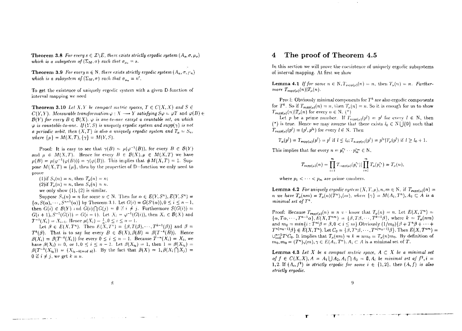**Theorem 3.8** For every  $s \in \mathbb{Z} \backslash E$ , there exists strictly ergodic system  $(A_s, \sigma, \mu_s)$ which is a subsystem of  $(\Sigma_M, \sigma)$  such that  $\sigma_{\mu} = s$ .

**Theorem 3.9** For every  $n \in \mathbb{N}$ , there exists strictly ergodic system  $(A_n, \sigma, \mu_n)$ *which is a subsystem of*  $(\Sigma_M, \sigma)$  *such that*  $\sigma_{\mu} = n'$ .

To get the existence of uniquely ergodic system with a given D-function of interval mapping we need

**Theorem 3.10** Let X, Y be compact metric spaces,  $T \in C(X,X)$  and  $S \in$ *C{Y, Y}. Measurable transformation*  $\varphi : X \longrightarrow Y$  satisfying  $S\varphi = \varphi T$  and  $\varphi(B) \in$  $B(Y)$  for every  $B \in \mathcal{B}(X)$ .  $\varphi$  is one-to-one except a countable set, on which  $\varphi$  is countable-to-one. If  $(Y, S)$  is uniquely ergodic system and supp( $\gamma$ ) is not *a periodic orbit, then*  $(X, T)$  *is also a uniquely ergodic system and*  $T_u = S_{\gamma}$ , *where*  $\{\mu\} = M(X, T), \{\gamma\} = M(Y, S).$ 

Proof: It is easy to see that  $\gamma(B) = \mu(\varphi^{-1}(B))$ , for every  $B \in \mathcal{B}(Y)$ and  $\mu \in M(X,T)$ . Hence for every  $B \in B(X)$ ,  $\mu \in M(X,T)$  we have  $\mu(B) = \mu(\varphi^{-1}(\varphi(B))) = \gamma(\varphi(B)).$  This implies that  $\#M(X,T) = 1$ . Suppose  $M(X,T) = \{\mu\}$ , then by the properties of D-function we only need to prove

(1)if  $S_n(n) = n$ , then  $T_n(n) = n$ ;

(2)if  $T_n(n) = n$ , then  $S_n(n) = n$ .

we only show  $(1)$ ,  $(2)$  is similar.

Suppose  $S_{\gamma}(n) = n$  for some  $n \in \mathbb{N}$ . Then for  $\alpha \in E(Y, S^n)$ ,  $E(Y, S^n) =$  $\{\alpha, S(\alpha), \dots, S^{n-1}(\alpha)\}$  by Theorem 3.1. Let  $G(i) = G(S^{i}(\alpha)), 0 \le i \le n-1$ , then  $G(i) \in \mathcal{B}(Y)$  and  $G(i) \cap G(j) = \emptyset$  if  $i \neq j$ . Furthermore  $S(G(i)) =$  $G(i + 1), S^{-1}(G(i)) = G(i - 1)$ . Let  $X_i = \varphi^{-1}(G(i))$ , then  $X_i \in \mathcal{B}(X)$  and  $T^{-1}(X_i) = X_{i-1}$ . Hence  $\mu(X_i) = \frac{1}{n}, 0 \le i \le n-1$ .

Let  $\beta \in E(X, T^n)$ . Then  $E(X, T^n) = \{\beta, T(\beta), \cdots, T^{k-1}(\beta)\}$  and  $\beta =$  $T^k(\beta)$ . That is to say for every  $B \in \mathcal{B}(X), \beta(B) = \beta(T^{-k}(B))$ . Hence  $\beta(X_i) = \beta(T^{-k}(X_i))$  for every  $0 \le i \le n - 1$ . Because  $T^{-n}(X_i) = X_i$ , we have  $\beta(X_i) = 0$ , or  $1, 0 \le i \le n - 1$ . Let  $\beta(X_{i_0}) = 1$ , then  $1 = \beta(X_{i_0}) = 1$  $\beta(T^{-k}(X_{i_0})) = (X_{i_0-k(mod \ n)}).$  By the fact that  $\beta(X) = 1, \beta(X_i)$ 0 if  $i \neq j$ , we get  $k = n$ .

## 4 The proof of Theorem 4.5

In this section we will prove the coexistence of uniquely ergodic subsystems of interval mapping. At first we show

**Lemma 4.1** If for some  $n \in \mathbb{N}$ ,  $T_{\text{supp}(\mu)}(n) = n$ , then  $T_{\mu}(n) = n$ . Further*more*  $T_{\text{supp}(\mu)}(n)|T_{\mu}(n)$ .

Pro $\epsilon$ f: Obviously minimal components for  $T^k$  are also ergodic compon<mark>ents</mark> for  $T^k$ . So if  $T_{\text{supp}(\mu)}(n) = n$ , then  $T_{\mu}(n) = n$ . So it is enough for us to show  $T_{\text{sumf}(n)}(n)|T_n(n)$  for every  $n \in \mathbb{N}$ . (\*)

Let p be a prime number. If  $T_{\text{supp}(u)}(p^t) = p^t$  for every  $l \in \mathbb{N}$ , then (\*) is true. Hence we may assume that there exists  $l_0 \in {\rm N} \bigcup \{ 0 \}$  such  $\mathcal{C}^{l}(p^{l}, p^{l_{0}})$  for every  $l \in \mathbb{N}$ . Then

$$
T_{\mu}(p^{l}) = T_{supp(\mu)}(p^{l}) = p^{l} \text{ if } l \leq l_0; T_{supp(\mu)}(p^{l}) = p^{l_0} | T_{\mu}(p^{l}) \text{ if } l \geq l_0 + 1.
$$

This implies that for every  $n = p_1^{r_1} \cdots p_m^{r_m} \in N$ ,

$$
T_{supp(\mu)}(n) = \prod_{i=1}^m T_{supp(\mu)}(p_i^{r_i}) |\prod_{i=1}^m T_{\mu}(p_i^{r_i}) = T_{\mu}(n),
$$

where  $p_1 < \cdots < p_m$  are prime numbers.

**Lemma 4.2** For uniquely ergodic system  $(X, T, \mu), n, m \in \mathbb{N}$ , if  $T_{\text{supp}(\mu)}(n) =$ n we have  $T_{\mu}(nm) = T_{\mu}(n)(T^n)_{\gamma}(m)$ , where  $\{\gamma\} = M(A_1, T^n)$ ,  $A_1 \subset A$  is a *minimal set ofT<sup>n</sup> .*

**Proof:** Because  $T_{\text{supp}(n)}(n) = n$  v. • know that  $T_{\text{u}}(n) = n$ . Let  $E(X, T^n) =$  ${\alpha, T\alpha, \cdots, T^{n-1}\alpha}, E(X, T^{nm}) = {\beta, T\beta, \cdots, T^{k-1}\beta},$  where  $k = T_{\mu}(nm)$ and  $m_0 = min\{i : T^{ni}\beta = \beta, 0 < i \leq m\}$ .Obviously  $(1/m_0)\{\beta + T^n\beta + \cdots + \beta\}$  $T^{n(m_0-1)}\beta$   $\in E(X, T^n)$ . Let  $C_0 = {\beta, T^n\beta, \cdots, T^{n(m_0-1)}\beta}$ . Then  $E(X, T^{nm})$  $U^{n-1}_{i=0}T^{i}C_{0}$ . It implies that  $T_{\mu}(nm) = k = nm_{0} = T_{\mu}(n)m_{0}$ . By definition of  $m_0, m_0 = (T^n)_\gamma(m), \gamma \in E(A_1, T^n), A_1 \subset A$  is a minimal set of T.

**Lemma 4.3** Let X be a compact metric space,  $A \subset X$  be a minimal set *of*  $f \in C(X,X)$ ,  $A = A_1 \bigcup A_2$ ,  $A_1 \bigcap A_2 = \emptyset$ ,  $A_i$  be minimal set of  $f^2$ ,  $i =$ 1,2. If  $(A_i, f^2)$  is strictly ergodic for some  $i \in \{1,2\}$ , then  $(A, f)$  is also *strictly ergodic.*

 $\mathcal{L}_{\mathrm{eff}}$  and  $\mathcal{L}_{\mathrm{eff}}$  and  $\mathcal{L}_{\mathrm{eff}}$ 

<u>a santa da senama seria de la provincia de la pro</u>

 $\sim$   $\sim$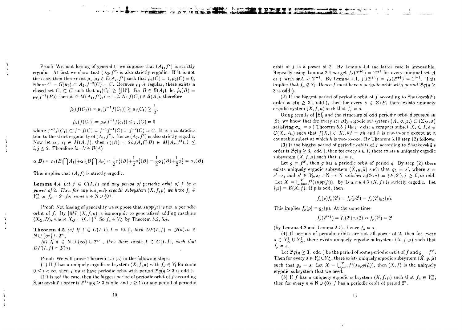Proof: Without lossing of generality we suppose that  $(A_1,f^2)$  is strictly ergodic. At first we show that  $(A_2, f^2)$  is also strictly ergodic. If it is not the case, then there exist  $\mu_1,\mu_2\in E(A_2,f^2)$  such that  $\mu_1(\hat C)=1,\mu_2(\hat C)=0,$ where  $C = G(\mu_1) \subset A_2, f^{-2}(C) = C$ . Because  $\mu_1$  is regular, there exists a closed set  $C_1 \subset C$  such that  $\mu_1(C_1) \geq \frac{1}{2}[W]$ . For  $B \in \mathcal{B}(A_1)$ , let  $\mu_1(B) =$  $\mu_i(f^{-1}(B))$  then  $\tilde{\mu}_i \in M(A_1,f^2), i=1,2.$  As  $f(C_1) \in \mathcal{B}(A_1),$  therefore

" <del>\*</del>

" •\*"'•• !

$$
\tilde{\mu}_1(f(C_1)) = \mu_1(f^{-1}f(C_1)) \ge \mu_1(C_1) \ge \frac{1}{2},
$$
  

$$
\tilde{\mu}_2(f(C_1)) = \mu_2(f^{-1}f(c_1)) \le \mu_2(C) = 0
$$

where  $f^{-1}f(C_1) \subset f^{-1}f(C) = f^{-1}f^{-1}(C) = f^{-2}(C) = C$ . It is a contradiction to the strict ergodicity of  $(A_1, f^2)$ . Hence  $(A_2, f^2)$  is also strictly ergodic. Now let  $\alpha_1, \alpha_2 \in M(A, f)$ , then  $\alpha_i'(B) = 2\alpha_i(A_j \bigcap B) \in M(A_j, f^2), 1 \leq j$  $i, j \leq 2$ . Therefore for  $B \in \mathcal{B}(A)$ 

$$
\alpha(B) = \alpha_1(B \bigcap A_1) + \alpha_1(B \bigcap A_2) = \frac{1}{2} \alpha_1^1(B) + \frac{1}{2} \alpha_1^2(B) = \frac{1}{2} \alpha_2^1(B) + \frac{1}{2} \alpha_2^2 = \alpha_2(B).
$$

This implies that  $(A, f)$  is strictly ergodic.

 $\mathbf{I}$ 

**Lemma 4.4** Let  $f \in C(I, I)$  and any period of periodic orbit of f be a power of  $2.$  Then for any uniquely ergodic subsystem  $(X,f,\mu)$  we have  $f_\mu \in$  $Y_{\infty}^2$  or  $f_{\mu} = 2^n$  *for some*  $n \in \mathbb{N} \cup \{0\}$ .

Proof: Not lossing of generality we suppose that  $supp(\mu)$  is not a periodic orbit of f. By  $[Mi]$   $(X, f, \mu)$  is isomorphic to generalized adding machine  $(X_Q, D)$ , where  $X_Q = \{0, 1\}^N$ . So  $f_\mu \in Y^2_{\infty}$  by Theorem 5.2, 5.4.

**Theorem 4.5** *(a) If*  $f \in C(I, I), I = [0,1]$ *, then*  $DF(I, f) = Y(n), n \in$  $N \cup \{\infty\} \cup 2^{\infty}$ ,

(b) If  $n \in \mathbb{N} \cup \{\infty\} \cup 2^{\infty}$ , then there exists  $f \in C(I, I)$ , such that  $DF(I, f) = \mathcal{Y}(u).$ 

Proof: We will prove Theorem  $4.5$  (a) in the following steps:

(1) If f has a uniquely ergodic subsystem  $(X, f, \mu)$  with  $f_{\mu} \in Y_i$  for some  $0 \leq i < \infty$ , then f must have periodic orbit with period  $2^i q (q \geq 3$  is odd ).

If it is not the case, then the biggest period of periodic orbit of  $f$  according Sharkovskii' s order is  $2^{i+j}q(q \geq 3)$  is odd and  $j \geq 1$  or any period of periodic orbit of  $f$  is a power of 2. By Lemma 4.4 the latter case is impossible. Repeatly using Lemma 2.4 we get  $f_A(2^{i+1}) = 2^{i+1}$  for every minimal set A of f with  $#A \geq 2^{i+1}$ . By Lemma 4.1,  $f_a(2^{i+1}) = f_A(2^{i+1}) = 2^{i+1}$ . This implies that  $f_x \notin Y_i$ . Hence f must have a periodic orbit with period  $2^i q(q)$ 3 is odd ).

(2) If the biggest period of periodic orbit of  $f$  according to Sharkovski<sup>1</sup>'s order is  $q(q \geq 3$ , odd), then for every  $s \in \mathcal{Z}\backslash E$ , there exists uniquely ergodic system  $(X, f, \mu)$  such that  $f_{\mu} = s$ .

Using results of [BI] and the structure of odd periodic orbit discussed in [St] we know that for every strictly ergodic subsystem  $(A_s, \sigma, \mu_s) \subset (\Sigma_M, \sigma)$ satisfying  $\sigma_{\mu} = s$  (Theorem 5.5 ) there exist a compact subset  $X_s \subset I, h \in$  $C(X_s, A_s)$  such that  $f(X_s) \subset X_s$ ,  $hf = \sigma h$  and *h* is one-to-one except at a countable subset at which *h* is two-to-one. By Theorem 3.10 step (2) follows.

(3) If the biggist period of periodic orbits of  $f$  according to Sharkovskii's order is  $2^i q (q \geq 3, \text{ odd } ) ,$  then for every  $s \in Y_i$  there exists a uniquely ergodic subsystem  $(X, f, \mu)$  such that  $f_{\mu} = s$ .

Let  $g = f^2$ , then g has a periodic orbit of period g. By step (2) there exists uniquely ergodic subsystem  $(\tilde{X}, q, \tilde{\mu})$  such that  $q_{\tilde{u}} = s'$ , where  $s =$  $s' \cdot s_i$  and  $s' \in Y_0, s_i : \mathbb{N} \to \mathbb{N}$  satisfies  $s_i(2^j m) = (2^j, 2^i), j \ge 0, m$  odd. Let  $X = \bigcup_{j=0}^{T} f^{j}(supp(\tilde{\mu}))$ . By Lemma 4.3  $(X, f)$  is strictly ergodic. Let  $\{\mu\} = E(X, f)$ . If p is odd, then

$$
f_{\mu}(p)f_{\mu}(2^i) = f_{\mu}(p2^i) = f_{\mu}(2^i)g_{\tilde{\mu}}(p).
$$

This implies  $f_{\mu}(p) = g_{\tilde{\mu}}(p)$ . At the same time

$$
f_{\mu}(2^{i+1}) = f_{\mu}(2^i)g_{\mu}(2) = f_{\mu}(2^i) = 2^i
$$

(by Lemma 4.2 and Lemma 2.4). Hence  $f_n = s$ .

(4) If periods of periodic orbits arc not all power of 2, then for every  $s \in Y^1_{\infty} \cup Y^2_{\infty}$ , there exists uniquely ergodic subsystem  $(X, f, \mu)$  such that  $f_u = s$ .

Let  $2^i q (q \geq 3, \text{ odd } )$  be the period of some periodic orbit of  $f$  and  $g = f^{2^i}$ . Then for every  $s \in Y^1_{\infty} \cup Y^2_{\infty}$ , there exists uniquely ergodic subsystem  $(\tilde{X},g,\tilde{\mu})$ such that  $g_{\tilde{\mu}} = s$ . Let  $X = \bigcup_{i=0}^{2^s} f^j(supp(\tilde{\mu}))$ , then  $(X, f)$  is the uniquely ergodic subsystem that we need.

(5) If f has a uniquely ergodic subsystem  $(X, f, \mu)$  such that  $f_{\mu} \in Y^2_{\infty}$ then for every  $n \in \mathbb{N} \cup \{0\}$ , f has a periodic orbit of period  $2^n$ .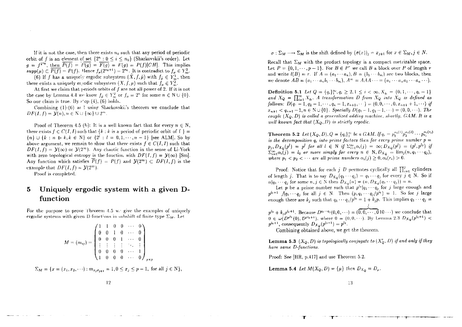If it is not the case, then there exists  $n_0$  such that any period of periodic orbit of f is an element of set  $\{2^n: 0 \le i \le n_0\}$  (Sharkovskii's order). Let  $g = f^{2^{n_0}}$ , then  $\overline{P(f)} = \overline{P(g)} = \overline{F(g)} = F(g) = P(f)[CH]$ . This implies  $supp(\mu) \subset \overline{P(f)} = P(f)$ . Hence  $f_{\mu}(2^{n_0+1}) = 2^{n_0}$ . It is contradict to  $f_{\mu} \in Y_{\infty}^2$ (6) If f has a uniquely ergodic subsystem  $(X, f, \tilde{\mu})$  with  $f_{\tilde{\mu}} \in Y^1_{\infty}$ , then

there exists a uniquely ergodic subsystem  $(X, f, \mu)$  such that  $f_{\mu} \in Y_{\infty}^2$ .

At first we claim that periods orbits of  $f$  are not all power of 2. If it is not the case by Lemma 4.4 we know  $f_{\tilde{u}} \in Y^2_{\infty}$  or  $f_{\tilde{u}} = 2^n$  for some  $n \in \mathbb{N} \cup \{0\}.$ So our claim is true. By s'cp (4), (6) holds.

Combining  $(1)-(6)$  ar t using Sharkovskii's theorem we conclude that  $DF(I, f) = \mathcal{Y}(n), n \in \mathbb{N} \cup \{\infty\} \cup 2^{\infty}$ .

Proof of Theorem 4.5 (b): It is a well known fact that for every  $n \in N$ , there exists  $f \in C(I, I)$  such that  $\{k : k \text{ is a period of periodic orbit of } f\}$  ${n} \cup \{k : n \triangleright k, k \in \mathbb{N}\}$  or  $\{2^i : l = 0, 1, \dots, n - 1\}$  [see ALM]. So by above argument, we remain to show that there exists  $f \in C(I,I)$  such that  $DF(I, f) = \mathcal{Y}(\infty)$  or  $\mathcal{Y}(2^{\infty})$ . Any chaotic function in the sense of Li-York with zero topological entropy is the function with  $DF(I, f) = \mathcal{Y}(\infty)$  [Sm]. Any function which satisfies  $\overline{P}(f) = P(f)$  and  $\mathcal{Y}(2^{\infty}) \subset DF(I, f)$  is the example that  $DF(I, f) = \mathcal{Y}(2^{\infty})$ .

Proof is completed.

## 5 Uniquely ergodic system with a given Dfunction

For the purpose to prove Theorem 4.5 we give the examples of uniquely ergodic systems with given D-functions in subshift of finite type  $\Sigma_M$ . Let

$$
M = (m_{ij}) = \begin{pmatrix} 1 & 1 & 0 & 0 & \cdots & 0 \\ 0 & 0 & 1 & 0 & \cdots & 0 \\ 0 & 0 & 0 & 1 & \cdots & 0 \\ \vdots & \vdots & \vdots & \vdots & \ddots & \vdots \\ 0 & 0 & 0 & 0 & \cdots & 1 \\ 1 & 0 & 0 & 0 & \cdots & 0 \end{pmatrix}_{p \times j}
$$

 $\Sigma_M = \{x = (x_1, x_2, \dots) : m_{x, x_{i+1}} = 1, 0 \le x_j \le p-1, \text{ for all } j \in \mathbb{N} \},$ 

 $\sigma : \Sigma_M \longrightarrow \Sigma_M$  is the shift defined by  $(\sigma(x))_j = x_{j+1}$  for  $x \in \Sigma_M, j \in N$ .

Recall that  $\Sigma_M$  with the product topology is a compact metrizable space. Let  $P = \{0, 1, \dots, p-1\}$ . For  $B \in P^r$  we call B a block over P of length r and write  $l(B) = r$ . If  $A = (a_1 \cdots a_n), B = (b_1 \cdots b_m)$  are two blocks, then we denote  $AB = (a_1 \cdots a_n b_1 \cdots b_m)$ ,  $A^{\infty} = AAA \cdots = (a_1 \cdots a_n a_1 \cdots a_n \cdots)$ .

**Definition 5.1** Let  $Q = \{q_i\}_{i=1}^{\infty}, q_i \geq 2, 1 \leq i < \infty, X_{q_i} = \{0, 1, \dots, q_i - 1\}$ and  $X_Q = \prod_{i=1}^{\infty} X_{q_i}$ . A transformation D from  $X_Q$  into  $X_Q$  is defined as *follows:*  $D(q_1 - 1, q_2 - 1, \dots, q_n - 1, x_{n+1}, \dots) = (0, 0, \dots, 0, x_{n+1} + 1, \dots)$  if  $x_{n+1} < q_{n+1} - 1, n \in \mathbb{N} \cup \{0\}$ . Specially  $D(q_1 - 1, q_2 - 1, \dots) = (0, 0, \dots)$ . The *couple (XQ,D) is called n. generalized adding machine, shortly, (1AM. It is a well known fact that*  $(X<sub>O</sub>, D)$  *is strictly ergodic.* 

**Theorem 5.2** Let  $(X_Q, D), Q = \{q_i\}_1^{\infty}$  be a GAM. If  $q_i = p_1^{o_1(1)} p_2^{o_1(2)} \cdots p_{r_i}^{o_i(r_i)}$ *is the decomposition q, into prime factors then for every prime number*  $p =$  $p_j, D_{X_Q}(p^l) = p^l$  for all  $l \in N$  if  $\sum_{i=1}^{\infty} \alpha_i(j) = \infty; D_{X_Q}(p^l) = (p^l, p^{l_0})$  if  $\Sigma_{i=1}^{\infty} \alpha_i(j) = l_0$  or more simply for every  $n \in \mathbb{N}, D_{X_Q} = \lim_i (n, q_1 \cdots q_j),$ *where*  $p_1 < p_2 < \cdots$  are all prime numbers  $\alpha_i(j) \geq 0, \alpha_i(r_i) > 0$ .

Proof: Notice that for each *j D* permutes cyclically all  $\prod_{i=1}^{j}$  cylinders of length *j*. That is to say  $D_{X_{\alpha}}(q_1 \cdots q_i) = q_1 \cdots q_i$  for every  $j \in \mathbb{N}$ . So if  $n|q_1 \cdots q_i$  for some  $n, j \in \mathbb{N}$  then  $D_{X_O}(n) = (n, D_{X_O}(q_1 \cdots q_i)) = n$ .

Let p be a prime number such that  $p^{t_0}|q_1 \cdots q_i$  for j large enough and  $p^{i_0+1}$   $\bigcap q_1 \cdots q_j$  for all  $j \in \mathbb{N}$ . Then  $(p, q_1 \cdots q_j/p^{i_0}) = 1$ . So for j large enough there are  $k_j$  such that  $q_1 \cdots q_j/p^m = 1 + k_j p$ . This implies  $q_1 \cdots q_j =$ 

 $p^{t_0} + k_z p^{t_0 + 1}$ . Because  $D^{q_1 \cdots q_p} (0,0, \cdots) = (0,0, \cdots, 0\, 10 \cdots)$  we conclude that  $0 \in \omega(D^{p^{t_0}}(0), D^{p^{t_0+1}})$ , where  $0 = (0,0,\cdots)$ . By Lemma 2.3  $D_{X_Q}(p^{t_0+1})$  $p^{l_0+1}$ , consequently  $D_{X_O}(p^{l_0+1}) = p^{l_0}$ .

j

Combining obtained above, we get the theorem.

**Lemma 5.3**  $(X<sub>Q</sub>, D)$  is topologically conjugate to  $(X'_{Q}, D)$  if and only if they *have same D-functions.*

Proof: See [HR, p.417] and use Theorem 5.2.

**Lemma 5.4** Let  $M(X_0, D) = \{ \mu \}$  then  $D_{X_0} = D_{\mu}$ .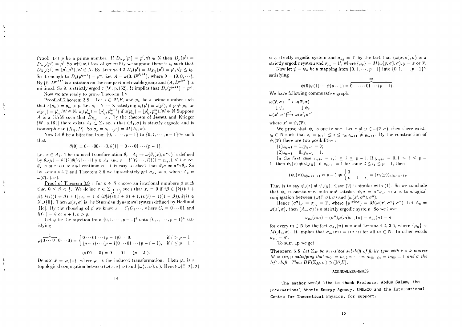Proof: Let *p* be a prime number. If  $D_{X_{\alpha}}(p^i) = p^i$ ,  $\forall i \in \mathbb{N}$  then  $D_{\mu}(p^i) =$  $D_{X_{\alpha}}(p') = p'$ . So without loss of generality we suppose there is  $l_0$  such that  $D_{X_{\mathbf{Q}}}(p^t) = (p^t, p^{t_0}), \forall l \in \mathbb{N}$ . By Lemma 4.2  $D_{\mu}(p^t) = D_{X_{\mathbf{Q}}}(p^t) = p^t, \forall j \leq l_0$ . So it enough to  $D_n(p^{l_0+1}) = p^{l_0}$ . Let  $A = \omega(0, D^{p^{l_0+1}})$ , where  $0 = (0, 0, \dots)$ . By [E]  $D^{p^{t_0+1}}$  is a rotation on the compact metrizable group and  $(A, D^{p^{t_0+1}})$  is minimal. So it is strictly ergodic [W, p.162]. It implies that  $D_u(p^{l_0+1}) = p^{l_0}$ .

Now we are ready to prove Theorem 3.8

 $\mathbf{r}$ 

 $\mathbf{t}$  $\mathbf{1}$ 

<u>Proof of Theorem 3.8</u> : Let  $s \in \mathcal{Z} \backslash E$ , and  $p_{in}$  be a prime number such that  $s(p_{i_0}) = p_{i_0} > p$ . Let  $s_1 : N \to N$  satisfying  $s_1(p^l) = s(p^l)$ , if  $p \neq p_{i_0}$  or  $s(p_{i_0}^l) = p_{i_0}^l, \forall l \in N$ ;  $s_1(p_{i_0}^l) = (p_{i_0}^l, p_{i_0}^{l_0-1})$  if  $s(p_{i_0}^l) = (p_{i_0}^l, p_{i_0}^{l_0})$ .  $\forall l \in N$  Suppose A is a GAM such that  $D_{X_Q} = s_1$ . By the theorem of Jewett and Krieger [W, p.161] there exists  $A_1 \n\subset \Sigma_2$  such that  $(A_1, \sigma)$  is strictly ergodic and is isomorphic to  $(X_Q, D)$ . So  $\sigma_\mu = s_1, \{\mu\} = M(A_1, \sigma)$ .

Now let  $\theta$  be a bijection from  $\{0, 1, \dots, p-1\}$  to  $\{0, 1, \dots, p-1\}^{p_0}$  such that

 $\theta(0) = 0 \cdots 00 \cdots 0, \theta(1) = 0 \cdots 01 \cdots (p-1).$ 

Let  $x \in A_1$ . The induced transformation  $\theta_x : A_1 \to \omega(\theta_x(x), \sigma^{p_{10}})$  is defined by  $\theta_*(y) = \theta(Y_1)\theta(Y_2) \cdots$  if  $y \in A_1$  and  $y = Y_1Y_2 \cdots$ ,  $l(Y_i) = p_{i_0}, 1 \le i < \infty$ .  $\theta_\star$  is one-to-one and continuous. It is easy to check that  $\theta_\star \sigma = \sigma^{p_{i_0}} \theta_\star.$  So by Lemma 4.2 and Theorem 3.6 we immediately get  $\sigma_{A_1} = s$ , where  $A_s =$  $\omega(\theta(x), \sigma)$ .

Proof of Theorem 3.9 : For  $n \in \mathbb{N}$  choose an irrational numbers  $\beta$  such that  $0 \leq \beta \leq \frac{1}{p}$ . We define  $x \in \Sigma_{\{\frac{1}{p}\}}$  such that  $x_i = 0$  if  $i\beta \in [k(i)(1 +$  $(\beta),k(i)(1 + \beta) + 1);$ . $x_i = 1$  if  $i\beta(k(i)(1 + \beta) + 1, (k(i) + 1)(1 + \beta)), k(i) \in$ NU{0}. Then  $\omega(x, \sigma)$  is the Sturmian dynamical system defined by Hedlund [He]. By the choosing of  $\beta$  we know  $x = C_1 C_2 \cdots$ , where  $C_i = 0 \cdots 01$  and  $l(C_i) = k$  or  $k + 1, k > n$ .

Let  $\varphi$  be the bijection from  $\{0, 1, \cdots, p - 1\}^k$  onto  $\{0, 1, \cdots, p - 1\}^k$  satisfying

$$
\varphi(\overbrace{0\cdots 01}^{i}0\cdots 0)=\begin{cases}0\cdots 01\cdots (p-1)0\cdots 0, & \text{if }i>p-1\\ (p-i)\cdots (p-1)0\cdots 01\cdots (p-i-1), & \text{if }i\leq p-1\end{cases}
$$

$$
\varphi(00\cdots 0)=(0\cdots 01\cdots (p-2)).
$$

Denote  $\bar{x} = \varphi_*(x)$ , where  $\varphi_*$  is the induced transformation. Then  $\varphi_*$  is a topological conjugation between  $(\omega(x, \sigma), \sigma)$  and  $(\omega(\overline{x}, \sigma), \sigma)$ . Hence  $\omega(\overline{x}, \sigma), \sigma)$  is a strictly ergodic system and  $\sigma_{\mu\mu} = 1'$  by the fact that  $(\omega(x,\sigma),\sigma)$  is a strictly ergodic system and  $\sigma_{\mu_x} = 1'$ , where  $\{\mu_{\mu}\} = M(\omega(y,\sigma),\sigma), y = x$  or  $\bar{x}$ .

Now let  $\psi = \psi_n$  be a mapping from  $\{0, 1, \dots, p-1\}$  into  $\{0, 1, \dots, p-1\}^n$ satisfying  $n<sub>0</sub>$ 

$$
\phi(0)\psi(1)\cdots\psi(p-1)=\overbrace{0\cdots\cdots 01\cdots (p-1)}^{p-1}.
$$

We have following commutative graph:

$$
\begin{array}{c}\n\omega(\vec{x}, \sigma) \stackrel{\sigma}{\longrightarrow} \omega(\vec{x}, \sigma) \\
\downarrow \psi_{\star} & \downarrow \psi_{\star} \\
\omega(x', \sigma^n)^{\sigma^n} \omega(x', \sigma^n)\n\end{array}
$$

where  $x' = \psi_*(\overline{x})$ .

We prove that  $\psi_*$  is one-to-one. Let  $z \neq y \in \omega(\overline{x}, \sigma)$ , then there exists  $i_0 \in \mathbb{N}$  such that  $z_i = y_i, 1 \leq i \leq i_0, z_{i_0+1} \neq y_{i_0+1}$ . By the construction of  $\psi_{\star}(\overline{x})$  there are two posibilities :

 $(1)z_{i_0+1} = 1, y_{i_0+1} = 0;$  $(2)z_{i_0+1}=0, y_{i_0+1}=1.$ 

In the first case  $z_{i_0+i} = i, 1 \le i \le p-1$ . If  $y_{i_0+i} = 0, 1 \le i \le p-1$ 1, then  $\psi_*(z) \neq \psi_*(y), \text{ if } y_{i_0+i_1} = 1 \text{ for some } 2 \leq i_1 \leq p + 1, \text{ then}$ 

$$
(\psi_{\star}(z))_{n(i_0+p-1)}=p-1\neq\begin{cases}0\\k-1-i_1=(\psi_{\star}(y))_{n(i_0+p-1)}.\end{cases}
$$

That is to say  $\psi_*(z) \neq \psi_*(y)$ . Case (2) is similar with (1). So we conclude that  $\psi_*$  is one-to-one, onto and satisfies  $\psi_*\sigma = \sigma^n \psi_*$ , so a is topological conjugation between  $(\omega(\overline{x}, \sigma), \sigma)$  and  $(\omega(x', \sigma^n), \sigma^n)$ .

Hence  $(\sigma^n)_{\mu'} = \sigma_{\mu_{\overline{x}}} = 1'$ , where  $\{\mu^{prime}\} = M(\omega(x', \sigma^n), \sigma^n)$ . Let  $A_n =$  $\omega(x', \sigma)$ , then  $(A_n, \sigma)$  is a strictly ergodic system. So we have

$$
\sigma_{\mu_n}(nm)=(\sigma^n)_{\mu'}(m)\sigma_{\mu_n}(n)=\sigma_{\mu_n}(n)=n
$$

for every  $m \in \mathbb{N}$  by the fact  $\sigma_{A_n}(n) = n$  and Lemma 4.2, 3.6, where  $\{\mu_n\} =$  $M(A_n, \sigma)$ . It implies that  $\sigma_{n_n}(m) = (m, n)$  for all  $m \in N$ . In other words  $\sigma_{\mu_n}=n'.$ 

To sum up we get

**Theorem 5.5** Let  $\Sigma_M$  be one-sided subshift of finite type with  $k \times k$  matrix *M* =  $(m_{ii})$  *satisfying that*  $m_{01} = m_{12} = \cdots = m_{(k-1)0} = m_{00} = 1$  *and*  $\sigma$  *the left shift.* Then  $DF(\Sigma_M, \sigma) \supset (\mathcal{Y} \setminus E)$ .

#### ACKNOWLEDGMENTS

The author would like to thank Professor Abdus Salam, the International Atomic Energy Agency, UNESCO and the International Centre for Theoretical Physics, for support.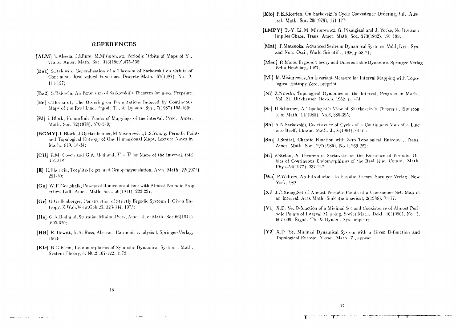#### **REFERENCES**

- [ALM] L.Alseda, J.Llibre, M.Misiurewicz, Periodic Orbits of Maps of Y. Trans. Amer. Math. Soc. 313(1989),475-538;
- [Ba1] S.Baldwin, Generalization of a Theorem of Sarkovskii on Orbits of Continuous Real-valued Functions, Discrete Math. 67(1987), No. 2,  $111 - 127$ :
- [Ba2] S.Baldwin, An Extension of Sarkovskii's Theorem for n-od, Preprint,
- [Be] C.Bernardt, The Ordering on Permutations Induced by Continuous Maps of the Real Line, Ergod. Th. & Dynam. Sys., 7(1987).155-160;
- [BI] L.Block, Homoclinic Points of Maggings of the interval, Proc. Amer. Math. Soc, 72(1978), 570-580;
- [BGMY] L.Block, J.Guckenheimer, M.Misiurewicz, L.S.Young, Periodic Points and Topological Entropy of One Dimensional Maps, Lecture Notes in Math., 819, 18-34;
- **[CH]** E.M. Coven and G.A. Hedlund,  $\overline{P} = \overline{R}$  for Maps of the Interval, ibid 316-318:
- **[E]** E.Eberlein, Toeplitz-Folgen und Gruppentranslation, Arch. Math. 22(1971),  $291-30$ :
- [Go] W.H.Gettshalk, Powers of Homeomorphisms with Almost Periodic Properties, Bull. Amer. Math. Soc., 50(1944), 222-227;
- [Gr] G.Grillenberger, Construction of Strictly Ergodic Systems I: Given Entropy, Z.Wah.Verw.Geb.25, 323-334. 1973;
- [He] G.A.Hedlund, Sturmian Minimal Sets, Amer. J. of Math Soc.66(1944)  $.605 - 620.$
- [HR] E. Hewitt, K.A. Ross, Abstract Harmonic Analysis I, Springer-Verlag. 1963:
- [Kle] B.G.Klein, Homomorphisms of Symbolic Dynamical Systems, Math. System Theory, 6, N0.2 107-122, 1972;
- [Klo] P.E.Kloeden, On Sarkovskii's Cycle Coexistence Ordering, Bull .Austral. Math. Soc., 20(1979), 171-177;
- [LMPY] T. Y. Li, M. Misiurewicz, G. Pianigiani and J. Yorke, No Division Implies Chaos, Trans. Amer. Math. Soc. 273(1982), 191-199;
- [Mat] T.Matsuoka, Advanced Series in Dynamical Systems, Vol.1, Dyn. Sys. and Non. Osci., World Scientific, 1986,p.58-71;
- [Man] R.Mane, Ergodic Theory and Differentiable Dynamics, Springer-Verlag Belin Heidebeg, 1987;
- [Mi] M.Misiurewicz, An Invariant Measure for Interval Mapping with Topological Entropy Zero, preprint
- [Ni] Z.Nitecki, Topological Dynamics on the Interval, Progress in Math., Vol. 21. Birkhauser, Boston, 1982, p.1-73;
- [Sc] H.Schirmer, A Topologist's View of Sharkovsky's Theorem, Houston J. of Math. 11(1985), No.3, 385-395;
- [Sh] A.N.Sarkovskii, Coexistence of Cycles of a Continuous Map of a Line into Itself, Ukrain. Math. J., 16(1964), 61-71;
- [Sm] J.Smital, Chaotic Function with Zero Topological Entropy, Trans. Amer. Math. Soc., 297(1986), No.1, 269-282:
- [St] P.Stefan, A Theorem of Sarkovskii on the Existence of Periodic Orbits of Continuous Endomorphisms of the Real Line, Comm. Math. Phys., 54(1977), 237-247;
- [Wa] P.Walters, An Introduction to Ergodic Theory, Springer Verlag. New York, 1982.
- [Xi] J.C.Xiong, Set of Almost Periodic Points of a Continuous Self Map of an Interval, Acta Math. Sinica(new series), 2(1986), 73-77;
- [Y1] X.D. Ye, D-function of a Minimal Set and Coexistence of Almost Periodic Points of Interval Mapping, Soviet Math. Dokl. 40(1990), No. 3. 607-609, Ergod. 'Fh. & Dynam. Sys., appear;
- [Y2] X.D. Ye, Minimal Dynamical System with a Given D-function and Topological Entropy, Ykran. Math. Z., appear.

16

**Communication**